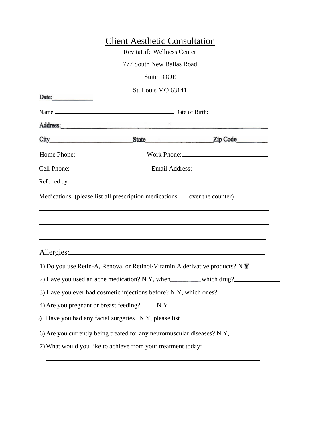|                                        | <b>Client Aesthetic Consultation</b>                                                                                                                                                                                                |                                                                                  |
|----------------------------------------|-------------------------------------------------------------------------------------------------------------------------------------------------------------------------------------------------------------------------------------|----------------------------------------------------------------------------------|
|                                        | <b>RevitaLife Wellness Center</b>                                                                                                                                                                                                   |                                                                                  |
|                                        | 777 South New Ballas Road                                                                                                                                                                                                           |                                                                                  |
|                                        | Suite 100E                                                                                                                                                                                                                          |                                                                                  |
|                                        | St. Louis MO 63141                                                                                                                                                                                                                  |                                                                                  |
| Date:                                  |                                                                                                                                                                                                                                     |                                                                                  |
|                                        | Name: <u>Name:</u> Name: Name: Name: Name: Name: Name: Name: Name: Name: Name: Name: Name: Name: Name: Name: Name: Name: Name: Name: Name: Name: Name: Name: Name: Name: Name: Name: Name: Name: Name: Name: Name: Name: Name: Name |                                                                                  |
|                                        |                                                                                                                                                                                                                                     |                                                                                  |
|                                        |                                                                                                                                                                                                                                     |                                                                                  |
|                                        |                                                                                                                                                                                                                                     |                                                                                  |
|                                        | Cell Phone: Cell Phone: Cell Phone: Cell Phone: Cell Phone: Cell Phone: Cell Phone: Cell Phone: Cell Phone: Cell Phone: Cell Phone: Cell Phone: Cell Phone: Cell Phone: Cell Phone: Cell Phone: Cell Phone: Cell Phone: Cell P      |                                                                                  |
|                                        |                                                                                                                                                                                                                                     |                                                                                  |
|                                        |                                                                                                                                                                                                                                     | Medications: (please list all prescription medications over the counter)         |
|                                        |                                                                                                                                                                                                                                     |                                                                                  |
|                                        |                                                                                                                                                                                                                                     |                                                                                  |
|                                        | 1) Do you use Retin-A, Renova, or Retinol/Vitamin A derivative products? N Y                                                                                                                                                        |                                                                                  |
|                                        | 2) Have you used an acne medication? N Y, when _______ which drug?                                                                                                                                                                  |                                                                                  |
|                                        | 3) Have you ever had cosmetic injections before? N Y, which ones?                                                                                                                                                                   |                                                                                  |
| 4) Are you pregnant or breast feeding? | NY                                                                                                                                                                                                                                  |                                                                                  |
|                                        |                                                                                                                                                                                                                                     | 5) Have you had any facial surgeries? N Y, please list__________________________ |
|                                        |                                                                                                                                                                                                                                     |                                                                                  |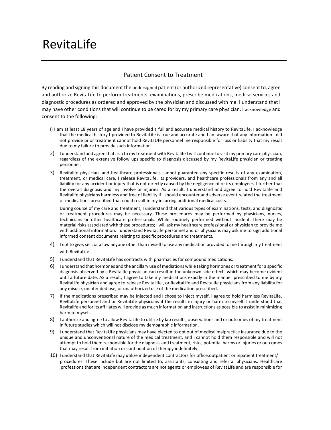## RevitaLife

## Patient Consent to Treatment

By reading and signing this document the undersigned patient (or authorized representative) consent to, agree and authorize RevitaLife to perform treatments, examinations, prescribe medications, medical services and diagnostic procedures as ordered and approved by the physician and discussed with me. I understand that I may have other conditions that will continue to be cared for by my primary care physician. I acknowledge and consent to the following:

- I) I am at least 18 years of age and I have provided a full and accurate medical history to RevitaLife. I acknowledge that the medical history t provided to RevitaLife is true and accurate and I am aware that any information I did not provide prior treatment cannot hold RevitaUfe personnel me responsible for loss or liability that my result due to my failure to provide such information.
- 2) I understand and agree that as a to my treatment with Revitalife I will continue to visit my primary care physician, regardless of the extensive follow ups specific to diagnosis discussed by my RevitaLjfe physician or treating personnel.
- 3) Revitalife physician. and healthcare professionals cannot guarantee any specific results of any examination, treatment, or medical care. I release RevitaLife, its providers, and healthcare professionals from any and all liability for any accident or injury that is not directly caused by the negligence of or its employees. I further that the overall diagnosis and my involve or injuries. As a result. I understand and agree to hold Revitalife and Revitalife physicians harmless and free of liability if I should encounter and adverse event related the treatment or medications prescribed that could result in my incurring additional medical costs.

During course of my care and treatment, I understand that various types of examinations, tests, and diagnostic or treatment procedures may be necessary. These procedures may be performed by physicians, nurses, technicians or other healthcare professionals. While routinely performed without incident. there may be material risks associated with these procedures; I will ask my healthcare professional or physician to provide me with additional information. I understand RevitaLife personnel and or physicians may ask me to sign additional informed consent documents relating to specific procedures and treatments.

- 4) I not to give, sell, or allow anyone other than myself to use any medication provided to me through my treatment with RevitaLife
- 5) I understand that RevitaLife has contracts with pharmacies for compound medications.
- 6) I understand that hormones and the ancillary use of mediations while taking hormones or treatment for a specific diagnosis observed by a Revitalife physician can result in the unknown side effects which may become evident until a future date. AS a result, I agree to take my medications exactly in the manner prescribed to me by my RevitaLife physician and agree to release RevitaLife , or RevitaLife and Revitalife physicians from any liability for any misuse, unintended use, or unauthorized use of the medication prescribed.
- 7) If the medications prescribed may be Injected and I chose to Inject myself, I agree to hold harmless RevitaLife, RevltaLife personnel and or RevitaLife physicians if the results in injury or harm to myself. I understand that Revitalife and for its affiliates will provide as much information and instructions as possible to assist in minimizing harm to myself.
- 8) I authorize and agree to allow RevitaLife to utilize by lab results, observations and or outcomes of my treatment in future studies which will not disclose my demographic information.
- 9) I understand that RevitaUfe physicians may have elected to opt out of medical malpractice insurance due to the unique and unconventional nature of the medical treatment. and I cannot hold them responsible and will not attempt to hold them responsible for the diagnosis and treatment, risks, potential harms or injuries or outcomes that may result from initiation or continuation of therapy indefinitely.
- 10) I understand that RevitaLife may utilize independent contractors for office,outpatient or inpatient treatment/ procedures. These include but are not limited to, assistants, consulting and referral physicians. Healthcare professions that are independent contractors are not agents or employees of RevitaLife and are responsible for